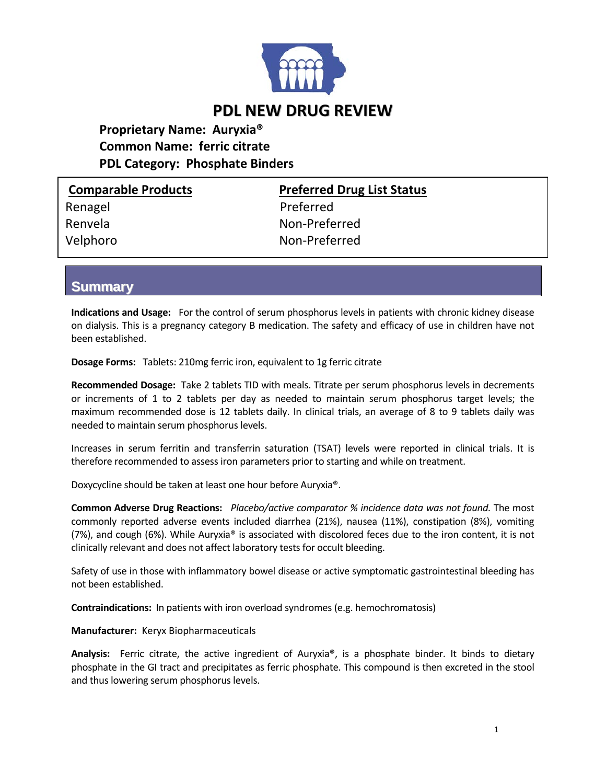

**Proprietary Name: Auryxia® Common Name: ferric citrate PDL Category: Phosphate Binders**

| <b>Comparable Products</b> | <b>Preferred Drug List Status</b> |
|----------------------------|-----------------------------------|
| Renagel                    | Preferred                         |
| Renvela                    | Non-Preferred                     |
| Velphoro                   | Non-Preferred                     |
|                            |                                   |

**Summary**

**Indications and Usage:**  For the control of serum phosphorus levels in patients with chronic kidney disease on dialysis. This is a pregnancy category B medication. The safety and efficacy of use in children have not been established.

**Dosage Forms:**  Tablets: 210mg ferric iron, equivalent to 1g ferric citrate

**Recommended Dosage:** Take 2 tablets TID with meals. Titrate per serum phosphorus levels in decrements or increments of 1 to 2 tablets per day as needed to maintain serum phosphorus target levels; the maximum recommended dose is 12 tablets daily. In clinical trials, an average of 8 to 9 tablets daily was needed to maintain serum phosphorus levels.

Increases in serum ferritin and transferrin saturation (TSAT) levels were reported in clinical trials. It is therefore recommended to assess iron parameters prior to starting and while on treatment.

Doxycycline should be taken at least one hour before Auryxia®.

**Common Adverse Drug Reactions:**  *Placebo/active comparator % incidence data was not found.* The most commonly reported adverse events included diarrhea (21%), nausea (11%), constipation (8%), vomiting (7%), and cough (6%). While Auryxia® is associated with discolored feces due to the iron content, it is not clinically relevant and does not affect laboratory tests for occult bleeding.

Safety of use in those with inflammatory bowel disease or active symptomatic gastrointestinal bleeding has not been established.

**Contraindications:** In patients with iron overload syndromes (e.g. hemochromatosis)

**Manufacturer:** Keryx Biopharmaceuticals

**Analysis:**  Ferric citrate, the active ingredient of Auryxia®, is a phosphate binder. It binds to dietary phosphate in the GI tract and precipitates as ferric phosphate. This compound is then excreted in the stool and thus lowering serum phosphorus levels.